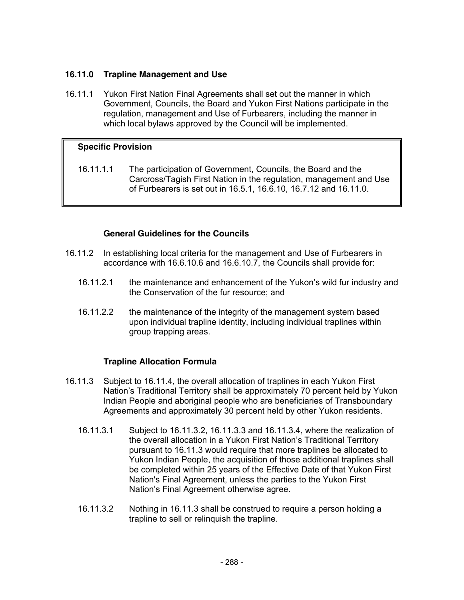## **16.11.0 Trapline Management and Use**

16.11.1 Yukon First Nation Final Agreements shall set out the manner in which Government, Councils, the Board and Yukon First Nations participate in the regulation, management and Use of Furbearers, including the manner in which local bylaws approved by the Council will be implemented.

## **Specific Provision**

16.11.1.1 The participation of Government, Councils, the Board and the Carcross/Tagish First Nation in the regulation, management and Use of Furbearers is set out in 16.5.1, 16.6.10, 16.7.12 and 16.11.0.

## **General Guidelines for the Councils**

- 16.11.2 In establishing local criteria for the management and Use of Furbearers in accordance with 16.6.10.6 and 16.6.10.7, the Councils shall provide for:
	- 16.11.2.1 the maintenance and enhancement of the Yukon's wild fur industry and the Conservation of the fur resource; and
	- 16.11.2.2 the maintenance of the integrity of the management system based upon individual trapline identity, including individual traplines within group trapping areas.

## **Trapline Allocation Formula**

- 16.11.3 Subject to 16.11.4, the overall allocation of traplines in each Yukon First Nation's Traditional Territory shall be approximately 70 percent held by Yukon Indian People and aboriginal people who are beneficiaries of Transboundary Agreements and approximately 30 percent held by other Yukon residents.
	- 16.11.3.1 Subject to 16.11.3.2, 16.11.3.3 and 16.11.3.4, where the realization of the overall allocation in a Yukon First Nation's Traditional Territory pursuant to 16.11.3 would require that more traplines be allocated to Yukon Indian People, the acquisition of those additional traplines shall be completed within 25 years of the Effective Date of that Yukon First Nation's Final Agreement, unless the parties to the Yukon First Nation's Final Agreement otherwise agree.
	- 16.11.3.2 Nothing in 16.11.3 shall be construed to require a person holding a trapline to sell or relinquish the trapline.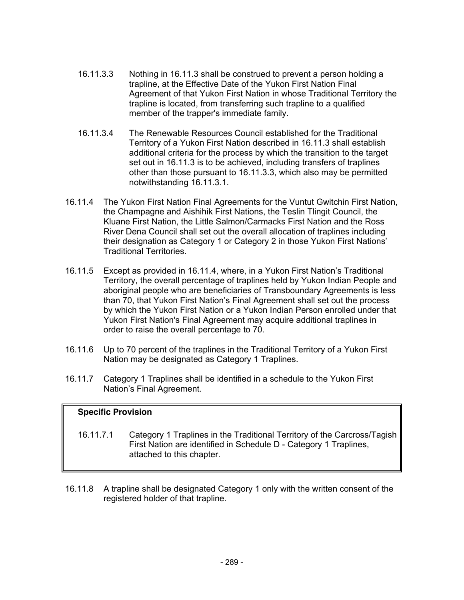- 16.11.3.3 Nothing in 16.11.3 shall be construed to prevent a person holding a trapline, at the Effective Date of the Yukon First Nation Final Agreement of that Yukon First Nation in whose Traditional Territory the trapline is located, from transferring such trapline to a qualified member of the trapper's immediate family.
- 16.11.3.4 The Renewable Resources Council established for the Traditional Territory of a Yukon First Nation described in 16.11.3 shall establish additional criteria for the process by which the transition to the target set out in 16.11.3 is to be achieved, including transfers of traplines other than those pursuant to 16.11.3.3, which also may be permitted notwithstanding 16.11.3.1.
- 16.11.4 The Yukon First Nation Final Agreements for the Vuntut Gwitchin First Nation, the Champagne and Aishihik First Nations, the Teslin Tlingit Council, the Kluane First Nation, the Little Salmon/Carmacks First Nation and the Ross River Dena Council shall set out the overall allocation of traplines including their designation as Category 1 or Category 2 in those Yukon First Nations' Traditional Territories.
- 16.11.5 Except as provided in 16.11.4, where, in a Yukon First Nation's Traditional Territory, the overall percentage of traplines held by Yukon Indian People and aboriginal people who are beneficiaries of Transboundary Agreements is less than 70, that Yukon First Nation's Final Agreement shall set out the process by which the Yukon First Nation or a Yukon Indian Person enrolled under that Yukon First Nation's Final Agreement may acquire additional traplines in order to raise the overall percentage to 70.
- 16.11.6 Up to 70 percent of the traplines in the Traditional Territory of a Yukon First Nation may be designated as Category 1 Traplines.
- 16.11.7 Category 1 Traplines shall be identified in a schedule to the Yukon First Nation's Final Agreement.

# **Specific Provision**

- 16.11.7.1 Category 1 Traplines in the Traditional Territory of the Carcross/Tagish First Nation are identified in Schedule D - Category 1 Traplines, attached to this chapter.
- 16.11.8 A trapline shall be designated Category 1 only with the written consent of the registered holder of that trapline.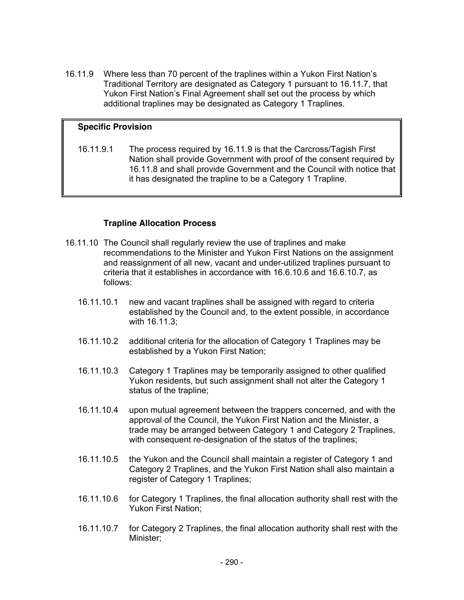16.11.9 Where less than 70 percent of the traplines within a Yukon First Nation's Traditional Territory are designated as Category 1 pursuant to 16.11.7, that Yukon First Nation's Final Agreement shall set out the process by which additional traplines may be designated as Category 1 Traplines.

### **Specific Provision**

16.11.9.1 The process required by 16.11.9 is that the Carcross/Tagish First Nation shall provide Government with proof of the consent required by 16.11.8 and shall provide Government and the Council with notice that it has designated the trapline to be a Category 1 Trapline.

#### **Trapline Allocation Process**

- 16.11.10 The Council shall regularly review the use of traplines and make recommendations to the Minister and Yukon First Nations on the assignment and reassignment of all new, vacant and under-utilized traplines pursuant to criteria that it establishes in accordance with 16.6.10.6 and 16.6.10.7, as follows:
	- 16.11.10.1 new and vacant traplines shall be assigned with regard to criteria established by the Council and, to the extent possible, in accordance with 16.11.3;
	- 16.11.10.2 additional criteria for the allocation of Category 1 Traplines may be established by a Yukon First Nation;
	- 16.11.10.3 Category 1 Traplines may be temporarily assigned to other qualified Yukon residents, but such assignment shall not alter the Category 1 status of the trapline;
	- 16.11.10.4 upon mutual agreement between the trappers concerned, and with the approval of the Council, the Yukon First Nation and the Minister, a trade may be arranged between Category 1 and Category 2 Traplines, with consequent re-designation of the status of the traplines;
	- 16.11.10.5 the Yukon and the Council shall maintain a register of Category 1 and Category 2 Traplines, and the Yukon First Nation shall also maintain a register of Category 1 Traplines;
	- 16.11.10.6 for Category 1 Traplines, the final allocation authority shall rest with the Yukon First Nation;
	- 16.11.10.7 for Category 2 Traplines, the final allocation authority shall rest with the Minister;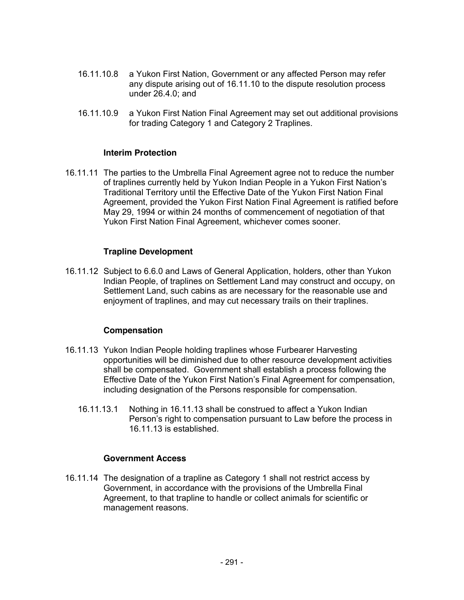- 16.11.10.8 a Yukon First Nation, Government or any affected Person may refer any dispute arising out of 16.11.10 to the dispute resolution process under 26.4.0; and
- 16.11.10.9 a Yukon First Nation Final Agreement may set out additional provisions for trading Category 1 and Category 2 Traplines.

#### **Interim Protection**

16.11.11 The parties to the Umbrella Final Agreement agree not to reduce the number of traplines currently held by Yukon Indian People in a Yukon First Nation's Traditional Territory until the Effective Date of the Yukon First Nation Final Agreement, provided the Yukon First Nation Final Agreement is ratified before May 29, 1994 or within 24 months of commencement of negotiation of that Yukon First Nation Final Agreement, whichever comes sooner.

#### **Trapline Development**

16.11.12 Subject to 6.6.0 and Laws of General Application, holders, other than Yukon Indian People, of traplines on Settlement Land may construct and occupy, on Settlement Land, such cabins as are necessary for the reasonable use and enjoyment of traplines, and may cut necessary trails on their traplines.

#### **Compensation**

- 16.11.13 Yukon Indian People holding traplines whose Furbearer Harvesting opportunities will be diminished due to other resource development activities shall be compensated. Government shall establish a process following the Effective Date of the Yukon First Nation's Final Agreement for compensation, including designation of the Persons responsible for compensation.
	- 16.11.13.1 Nothing in 16.11.13 shall be construed to affect a Yukon Indian Person's right to compensation pursuant to Law before the process in 16.11.13 is established.

### **Government Access**

16.11.14 The designation of a trapline as Category 1 shall not restrict access by Government, in accordance with the provisions of the Umbrella Final Agreement, to that trapline to handle or collect animals for scientific or management reasons.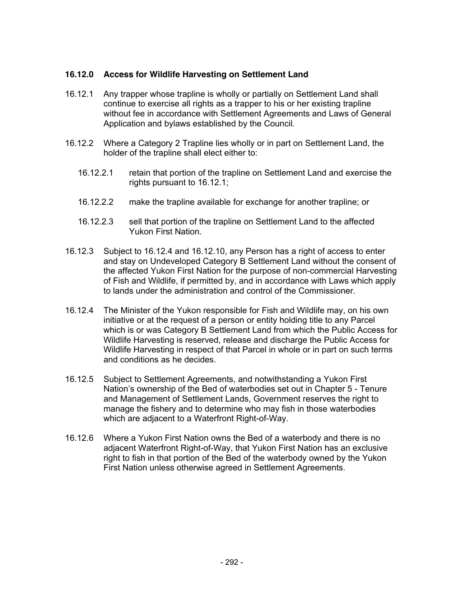### **16.12.0 Access for Wildlife Harvesting on Settlement Land**

- 16.12.1 Any trapper whose trapline is wholly or partially on Settlement Land shall continue to exercise all rights as a trapper to his or her existing trapline without fee in accordance with Settlement Agreements and Laws of General Application and bylaws established by the Council.
- 16.12.2 Where a Category 2 Trapline lies wholly or in part on Settlement Land, the holder of the trapline shall elect either to:
	- 16.12.2.1 retain that portion of the trapline on Settlement Land and exercise the rights pursuant to 16.12.1;
	- 16.12.2.2 make the trapline available for exchange for another trapline; or
	- 16.12.2.3 sell that portion of the trapline on Settlement Land to the affected Yukon First Nation.
- 16.12.3 Subject to 16.12.4 and 16.12.10, any Person has a right of access to enter and stay on Undeveloped Category B Settlement Land without the consent of the affected Yukon First Nation for the purpose of non-commercial Harvesting of Fish and Wildlife, if permitted by, and in accordance with Laws which apply to lands under the administration and control of the Commissioner.
- 16.12.4 The Minister of the Yukon responsible for Fish and Wildlife may, on his own initiative or at the request of a person or entity holding title to any Parcel which is or was Category B Settlement Land from which the Public Access for Wildlife Harvesting is reserved, release and discharge the Public Access for Wildlife Harvesting in respect of that Parcel in whole or in part on such terms and conditions as he decides.
- 16.12.5 Subject to Settlement Agreements, and notwithstanding a Yukon First Nation's ownership of the Bed of waterbodies set out in Chapter 5 - Tenure and Management of Settlement Lands, Government reserves the right to manage the fishery and to determine who may fish in those waterbodies which are adjacent to a Waterfront Right-of-Way.
- 16.12.6 Where a Yukon First Nation owns the Bed of a waterbody and there is no adjacent Waterfront Right-of-Way, that Yukon First Nation has an exclusive right to fish in that portion of the Bed of the waterbody owned by the Yukon First Nation unless otherwise agreed in Settlement Agreements.